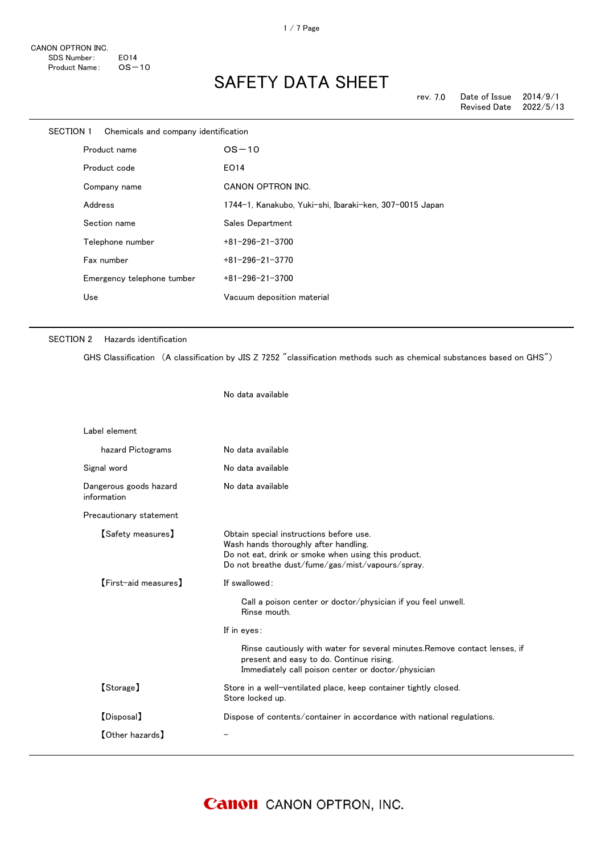| <b>SECTION 1</b> | Chemicals and company identification |                                                         |
|------------------|--------------------------------------|---------------------------------------------------------|
|                  | Product name                         | $OS-10$                                                 |
|                  | Product code                         | EO14                                                    |
|                  | Company name                         | CANON OPTRON INC.                                       |
|                  | Address                              | 1744-1, Kanakubo, Yuki-shi, Ibaraki-ken, 307-0015 Japan |
|                  | Section name                         | Sales Department                                        |
|                  | Telephone number                     | $+81 - 296 - 21 - 3700$                                 |
|                  | Fax number                           | $+81 - 296 - 21 - 3770$                                 |
|                  | Emergency telephone tumber           | $+81 - 296 - 21 - 3700$                                 |
|                  | Use                                  | Vacuum deposition material                              |
|                  |                                      |                                                         |

### SECTION 2 Hazards identification

GHS Classification (A classification by JIS Z 7252 "classification methods such as chemical substances based on GHS")

No data available

| No data available                                                                                                                                                                           |
|---------------------------------------------------------------------------------------------------------------------------------------------------------------------------------------------|
| No data available                                                                                                                                                                           |
| No data available                                                                                                                                                                           |
|                                                                                                                                                                                             |
| Obtain special instructions before use.<br>Wash hands thoroughly after handling.<br>Do not eat, drink or smoke when using this product.<br>Do not breathe dust/fume/gas/mist/vapours/spray. |
| If swallowed:<br>Call a poison center or doctor/physician if you feel unwell.<br>Rinse mouth.                                                                                               |
| If in eyes:                                                                                                                                                                                 |
| Rinse cautiously with water for several minutes. Remove contact lenses, if<br>present and easy to do. Continue rising.<br>Immediately call poison center or doctor/physician                |
| Store in a well-ventilated place, keep container tightly closed.<br>Store locked up.                                                                                                        |
| Dispose of contents/container in accordance with national regulations.                                                                                                                      |
|                                                                                                                                                                                             |
|                                                                                                                                                                                             |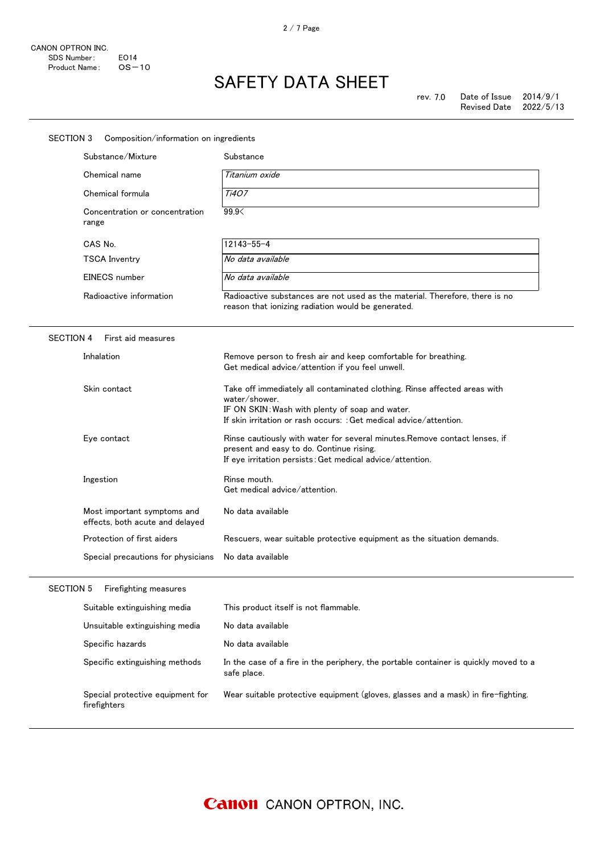| SECTION 3<br>Composition/information on ingredients            |                                                                                                                                                                                                                     |  |  |
|----------------------------------------------------------------|---------------------------------------------------------------------------------------------------------------------------------------------------------------------------------------------------------------------|--|--|
| Substance/Mixture                                              | Substance                                                                                                                                                                                                           |  |  |
| Chemical name                                                  | Titanium oxide                                                                                                                                                                                                      |  |  |
| Chemical formula                                               | Ti407                                                                                                                                                                                                               |  |  |
| Concentration or concentration<br>range                        | 99.9                                                                                                                                                                                                                |  |  |
| CAS No.                                                        | $12143 - 55 - 4$                                                                                                                                                                                                    |  |  |
| <b>TSCA Inventry</b>                                           | No data available                                                                                                                                                                                                   |  |  |
| EINECS number                                                  | No data available                                                                                                                                                                                                   |  |  |
| Radioactive information                                        | Radioactive substances are not used as the material. Therefore, there is no<br>reason that ionizing radiation would be generated.                                                                                   |  |  |
| <b>SECTION 4</b><br>First aid measures                         |                                                                                                                                                                                                                     |  |  |
| Inhalation                                                     | Remove person to fresh air and keep comfortable for breathing.<br>Get medical advice/attention if you feel unwell.                                                                                                  |  |  |
| Skin contact                                                   | Take off immediately all contaminated clothing. Rinse affected areas with<br>water/shower.<br>IF ON SKIN: Wash with plenty of soap and water.<br>If skin irritation or rash occurs: : Get medical advice/attention. |  |  |
| Eye contact                                                    | Rinse cautiously with water for several minutes. Remove contact lenses, if<br>present and easy to do. Continue rising.<br>If eye irritation persists: Get medical advice/attention.                                 |  |  |
| Ingestion                                                      | Rinse mouth.<br>Get medical advice/attention.                                                                                                                                                                       |  |  |
| Most important symptoms and<br>effects, both acute and delayed | No data available                                                                                                                                                                                                   |  |  |
| Protection of first aiders                                     | Rescuers, wear suitable protective equipment as the situation demands.                                                                                                                                              |  |  |
| Special precautions for physicians                             | No data available                                                                                                                                                                                                   |  |  |
| SECTION 5<br>Firefighting measures                             |                                                                                                                                                                                                                     |  |  |
| Suitable extinguishing media                                   | This product itself is not flammable.                                                                                                                                                                               |  |  |
| Unsuitable extinguishing media                                 | No data available                                                                                                                                                                                                   |  |  |
| Specific hazards                                               | No data available                                                                                                                                                                                                   |  |  |
| Specific extinguishing methods                                 | In the case of a fire in the periphery, the portable container is quickly moved to a<br>safe place.                                                                                                                 |  |  |
| Special protective equipment for<br>firefighters               | Wear suitable protective equipment (gloves, glasses and a mask) in fire-fighting.                                                                                                                                   |  |  |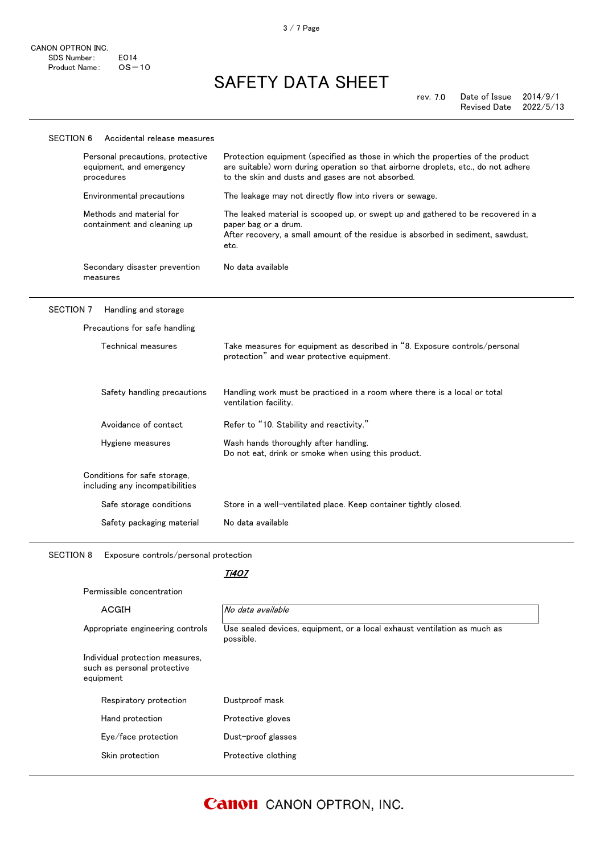| <b>SECTION 6</b> | Accidental release measures                                                |                                                                                                                                                                                                                            |
|------------------|----------------------------------------------------------------------------|----------------------------------------------------------------------------------------------------------------------------------------------------------------------------------------------------------------------------|
|                  | Personal precautions, protective<br>equipment, and emergency<br>procedures | Protection equipment (specified as those in which the properties of the product<br>are suitable) worn during operation so that airborne droplets, etc., do not adhere<br>to the skin and dusts and gases are not absorbed. |
|                  | Environmental precautions                                                  | The leakage may not directly flow into rivers or sewage.                                                                                                                                                                   |
|                  | Methods and material for<br>containment and cleaning up                    | The leaked material is scooped up, or swept up and gathered to be recovered in a<br>paper bag or a drum.<br>After recovery, a small amount of the residue is absorbed in sediment, sawdust,<br>etc.                        |
|                  | Secondary disaster prevention<br>measures                                  | No data available                                                                                                                                                                                                          |
| <b>SECTION 7</b> | Handling and storage                                                       |                                                                                                                                                                                                                            |
|                  | Precautions for safe handling                                              |                                                                                                                                                                                                                            |
|                  | Technical measures                                                         | Take measures for equipment as described in "8. Exposure controls/personal<br>protection" and wear protective equipment.                                                                                                   |
|                  | Safety handling precautions                                                | Handling work must be practiced in a room where there is a local or total<br>ventilation facility.                                                                                                                         |
|                  | Avoidance of contact                                                       | Refer to "10. Stability and reactivity."                                                                                                                                                                                   |
|                  | Hygiene measures                                                           | Wash hands thoroughly after handling.<br>Do not eat, drink or smoke when using this product.                                                                                                                               |
|                  | Conditions for safe storage,<br>including any incompatibilities            |                                                                                                                                                                                                                            |
|                  | Safe storage conditions                                                    | Store in a well-ventilated place. Keep container tightly closed.                                                                                                                                                           |
|                  | Safety packaging material                                                  | No data available                                                                                                                                                                                                          |
| <b>SECTION 8</b> | Exposure controls/personal protection                                      |                                                                                                                                                                                                                            |
|                  |                                                                            | Ti407                                                                                                                                                                                                                      |
|                  | Permissible concentration                                                  |                                                                                                                                                                                                                            |

| ACGIH                                                                       | No data available                                                                     |
|-----------------------------------------------------------------------------|---------------------------------------------------------------------------------------|
| Appropriate engineering controls                                            | Use sealed devices, equipment, or a local exhaust ventilation as much as<br>possible. |
| Individual protection measures,<br>such as personal protective<br>equipment |                                                                                       |
| Respiratory protection                                                      | Dustproof mask                                                                        |
| Hand protection                                                             | Protective gloves                                                                     |
|                                                                             | Dust-proof glasses                                                                    |
| Eye/face protection                                                         |                                                                                       |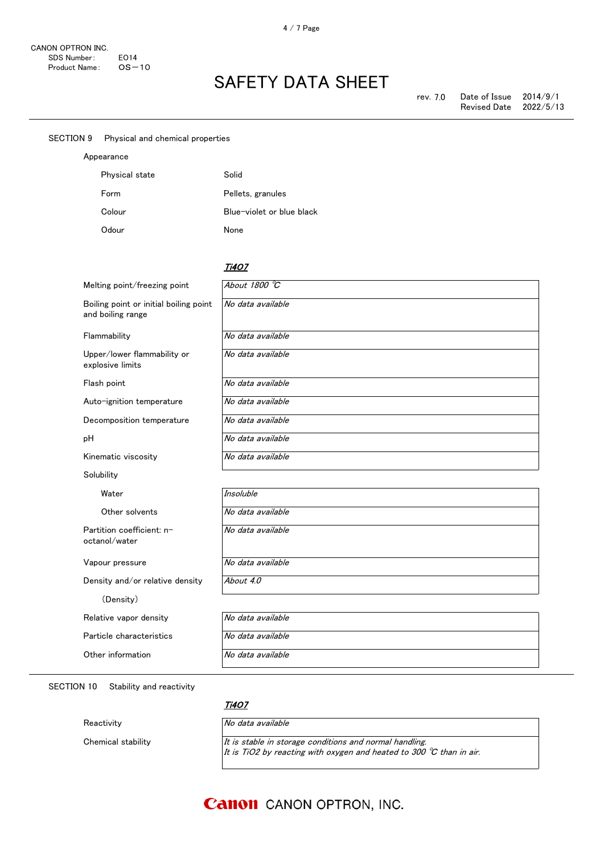| <b>SECTION 9</b> |  |  | Physical and chemical properties |
|------------------|--|--|----------------------------------|
|------------------|--|--|----------------------------------|

| Appearance     |                           |
|----------------|---------------------------|
| Physical state | Solid                     |
| Form           | Pellets, granules         |
| Colour         | Blue-violet or blue black |
| Odour          | None                      |

#### <u>Ti4O7</u>

| Melting point/freezing point                                | About 1800 °C     |
|-------------------------------------------------------------|-------------------|
| Boiling point or initial boiling point<br>and boiling range | No data available |
| Flammability                                                | No data available |
| Upper/lower flammability or<br>explosive limits             | No data available |
| Flash point                                                 | No data available |
| Auto-ignition temperature                                   | No data available |
| Decomposition temperature                                   | No data available |
| рH                                                          | No data available |
| Kinematic viscosity                                         | No data available |
| Solubility                                                  |                   |
| Water                                                       | <b>Insoluble</b>  |
| Other solvents                                              | No data available |
| Partition coefficient: n-<br>octanol/water                  | No data available |
| Vapour pressure                                             | No data available |
| Density and/or relative density                             | About 4.0         |
| (Density)                                                   |                   |
| Relative vapor density                                      | No data available |
| Particle characteristics                                    | No data available |
| Other information                                           | No data available |

SECTION 10 Stability and reactivity

Reactivity **No data available** 

### Ti4O7

Chemical stability  $I$ t is stable in storage conditions and normal handling. It is TiO2 by reacting with oxygen and heated to 300  $^\circ\!{\rm C}$  than in air.

## **Canon** CANON OPTRON, INC.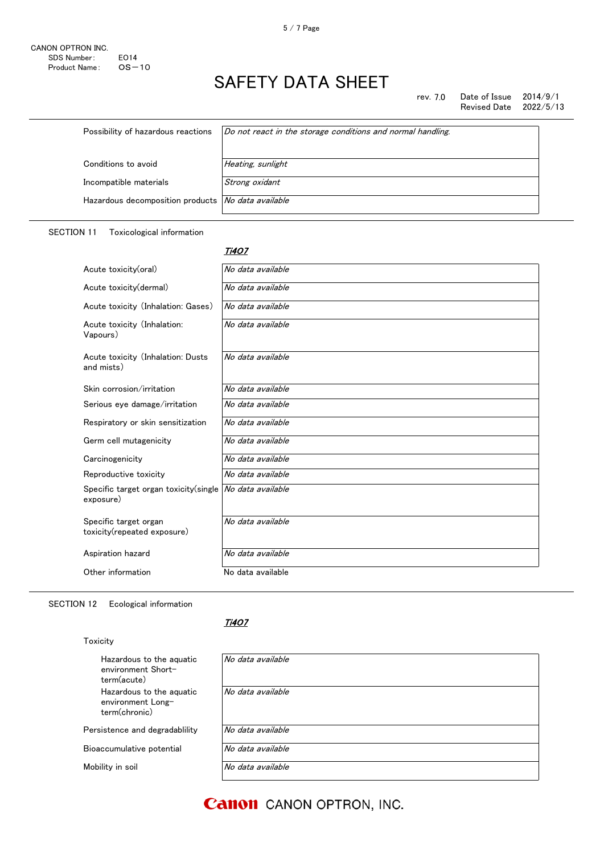rev. 7.0 Date of Issue 2014/9/1<br>Revised Date 2022/5/13 Revised Date

| Possibility of hazardous reactions                        | Do not react in the storage conditions and normal handling. |
|-----------------------------------------------------------|-------------------------------------------------------------|
| Conditions to avoid                                       | Heating, sunlight                                           |
| Incompatible materials                                    | Strong oxidant                                              |
| Hazardous decomposition products <i>No data available</i> |                                                             |

### SECTION 11 Toxicological information

#### <u>Ti4O7</u>

| Acute toxicity(oral)                                 | No data available |
|------------------------------------------------------|-------------------|
| Acute toxicity(dermal)                               | No data available |
| Acute toxicity (Inhalation: Gases)                   | No data available |
| Acute toxicity (Inhalation:<br>Vapours)              | No data available |
| Acute toxicity (Inhalation: Dusts<br>and mists)      | No data available |
| Skin corrosion/irritation                            | No data available |
| Serious eye damage/irritation                        | No data available |
| Respiratory or skin sensitization                    | No data available |
| Germ cell mutagenicity                               | No data available |
| Carcinogenicity                                      | No data available |
| Reproductive toxicity                                | No data available |
| Specific target organ toxicity (single<br>exposure)  | No data available |
| Specific target organ<br>toxicity(repeated exposure) | No data available |
| Aspiration hazard                                    | No data available |
| Other information                                    | No data available |

### SECTION 12 Ecological information

### Toxicity

#### <u>Ti4O7</u>

| Hazardous to the aguatic<br>environment Short-<br>term(acute)  | No data available |
|----------------------------------------------------------------|-------------------|
| Hazardous to the aquatic<br>environment Long-<br>term(chronic) | No data available |
| Persistence and degradability                                  | No data available |
| Bioaccumulative potential                                      | No data available |
| Mobility in soil                                               | No data available |
|                                                                |                   |

**Canon** CANON OPTRON, INC.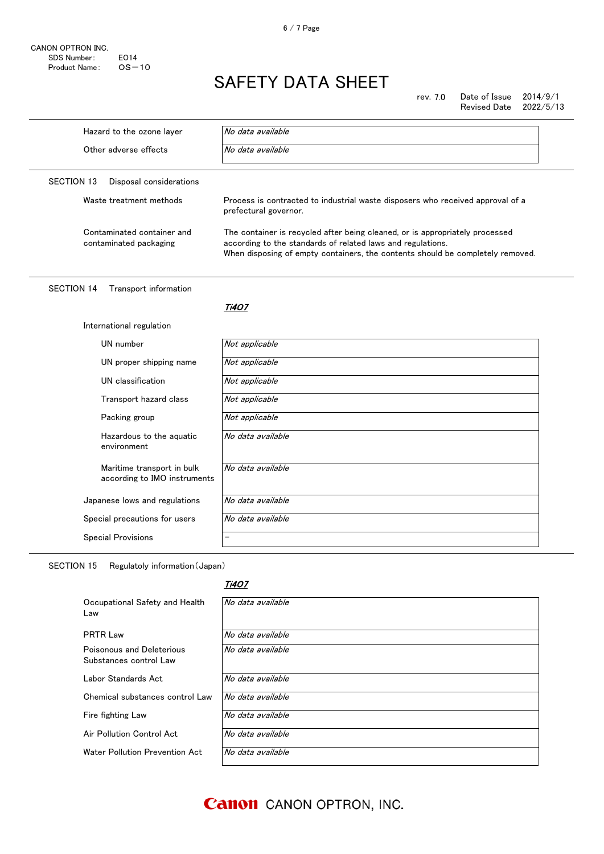| CANON OPTRON INC. |             |
|-------------------|-------------|
| SDS Number:       | <b>FO14</b> |
| Product Name:     | $OS - 10$   |

rev. 7.0 Date of Issue 2014/9/1 Revised Date 2022/5/13

Hazard to the ozone layer  $\sqrt{N}$  No data available Other adverse effects  $\sqrt{N}$  No data available SECTION 13 Disposal considerations Waste treatment methods **Process** is contracted to industrial waste disposers who received approval of a prefectural governor. Contaminated container and contaminated packaging The container is recycled after being cleaned, or is appropriately processed according to the standards of related laws and regulations. When disposing of empty containers, the contents should be completely removed. SECTION 14 Transport information <u>Ti4O7</u> International regulation UN number Not applicable UN proper shipping name  $\overline{Not \ applicable}$ UN classification Not applicable Transport hazard class Not applicable Packing group Not applicable Hazardous to the aquatic environment No data available Maritime transport in bulk according to IMO instruments No data available Japanese lows and regulations  $\vert$  No data available Special precautions for users No data available Special Provisions

SECTION 15 Regulatoly information(Japan)

### Ti4O7

| Occupational Safety and Health<br>Law               | No data available |
|-----------------------------------------------------|-------------------|
| <b>PRTR Law</b>                                     | No data available |
| Poisonous and Deleterious<br>Substances control Law | No data available |
| Labor Standards Act                                 | No data available |
| Chemical substances control Law                     | No data available |
| Fire fighting Law                                   | No data available |
| Air Pollution Control Act                           | No data available |
| Water Pollution Prevention Act                      | No data available |

**Canon** CANON OPTRON, INC.